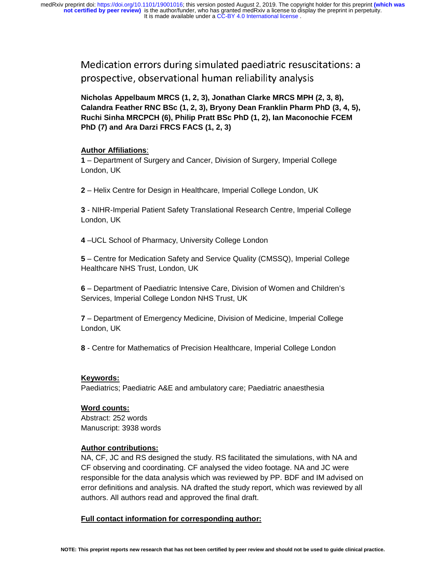Medication errors during simulated paediatric resuscitations: a prospective, observational human reliability analysis

**Nicholas Appelbaum MRCS (1, 2, 3), Jonathan Clarke MRCS MPH (2, 3, 8), Calandra Feather RNC BSc (1, 2, 3), Bryony Dean Franklin Pharm PhD (3, 4, 5), Ruchi Sinha MRCPCH (6), Philip Pratt BSc PhD (1, 2), Ian Maconochie FCEM PhD (7) and Ara Darzi FRCS FACS (1, 2, 3)**

### **Author Affiliations**:

**1** – Department of Surgery and Cancer, Division of Surgery, Imperial College London, UK

**2** – Helix Centre for Design in Healthcare, Imperial College London, UK

**3** - NIHR-Imperial Patient Safety Translational Research Centre, Imperial College London, UK

**4** –UCL School of Pharmacy, University College London

**5** – Centre for Medication Safety and Service Quality (CMSSQ), Imperial College Healthcare NHS Trust, London, UK

**6** – Department of Paediatric Intensive Care, Division of Women and Children's Services, Imperial College London NHS Trust, UK

**7** – Department of Emergency Medicine, Division of Medicine, Imperial College London, UK

**8** - Centre for Mathematics of Precision Healthcare, Imperial College London

### **Keywords:**

Paediatrics; Paediatric A&E and ambulatory care; Paediatric anaesthesia

### **Word counts:**

Abstract: 252 words Manuscript: 3938 words

### **Author contributions:**

NA, CF, JC and RS designed the study. RS facilitated the simulations, with NA and CF observing and coordinating. CF analysed the video footage. NA and JC were responsible for the data analysis which was reviewed by PP. BDF and IM advised on error definitions and analysis. NA drafted the study report, which was reviewed by all authors. All authors read and approved the final draft.

### **Full contact information for corresponding author:**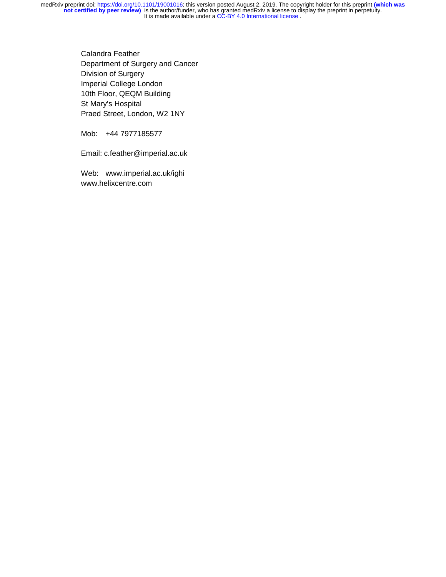> Calandra Feather Department of Surgery and Cancer Division of Surgery Imperial College London 10th Floor, QEQM Building St Mary's Hospital Praed Street, London, W2 1NY

Mob: +44 7977185577

Email: c.feather@imperial.ac.uk

Web: www.imperial.ac.uk/ighi www.helixcentre.com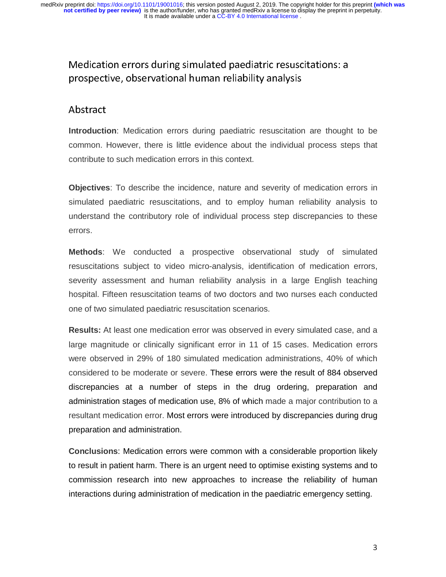# Medication errors during simulated paediatric resuscitations: a prospective, observational human reliability analysis

## Abstract

 **Introduction**: Medication errors during paediatric resuscitation are thought to be common. However, there is little evidence about the individual process steps that contribute to such medication errors in this context.

**Objectives**: To describe the incidence, nature and severity of medication errors in simulated paediatric resuscitations, and to employ human reliability analysis to understand the contributory role of individual process step discrepancies to these errors.

**Methods**: We conducted a prospective observational study of simulated resuscitations subject to video micro-analysis, identification of medication errors, severity assessment and human reliability analysis in a large English teaching hospital. Fifteen resuscitation teams of two doctors and two nurses each conducted one of two simulated paediatric resuscitation scenarios.

**Results:** At least one medication error was observed in every simulated case, and a large magnitude or clinically significant error in 11 of 15 cases. Medication errors were observed in 29% of 180 simulated medication administrations, 40% of which considered to be moderate or severe. These errors were the result of 884 observed discrepancies at a number of steps in the drug ordering, preparation and administration stages of medication use, 8% of which made a major contribution to a resultant medication error. Most errors were introduced by discrepancies during drug preparation and administration.

**Conclusions**: Medication errors were common with a considerable proportion likely to result in patient harm. There is an urgent need to optimise existing systems and to commission research into new approaches to increase the reliability of human interactions during administration of medication in the paediatric emergency setting.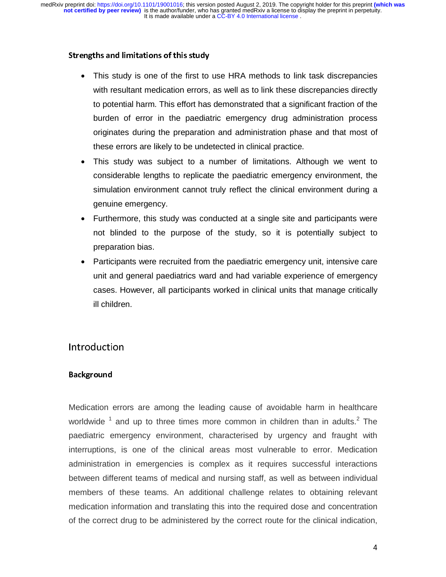### Strengths and limitations of this study

- This study is one of the first to use HRA methods to link task discrepancies with resultant medication errors, as well as to link these discrepancies directly to potential harm. This effort has demonstrated that a significant fraction of the burden of error in the paediatric emergency drug administration process originates during the preparation and administration phase and that most of these errors are likely to be undetected in clinical practice.
- This study was subject to a number of limitations. Although we went to considerable lengths to replicate the paediatric emergency environment, the simulation environment cannot truly reflect the clinical environment during a genuine emergency.
- Furthermore, this study was conducted at a single site and participants were not blinded to the purpose of the study, so it is potentially subject to preparation bias.
- Participants were recruited from the paediatric emergency unit, intensive care unit and general paediatrics ward and had variable experience of emergency cases. However, all participants worked in clinical units that manage critically ill children.

## Introduction

### Background

Medication errors are among the leading cause of avoidable harm in healthcare worldwide  $^1$  and up to three times more common in children than in adults.<sup>2</sup> The paediatric emergency environment, characterised by urgency and fraught with interruptions, is one of the clinical areas most vulnerable to error. Medication administration in emergencies is complex as it requires successful interactions between different teams of medical and nursing staff, as well as between individual members of these teams. An additional challenge relates to obtaining relevant medication information and translating this into the required dose and concentration of the correct drug to be administered by the correct route for the clinical indication,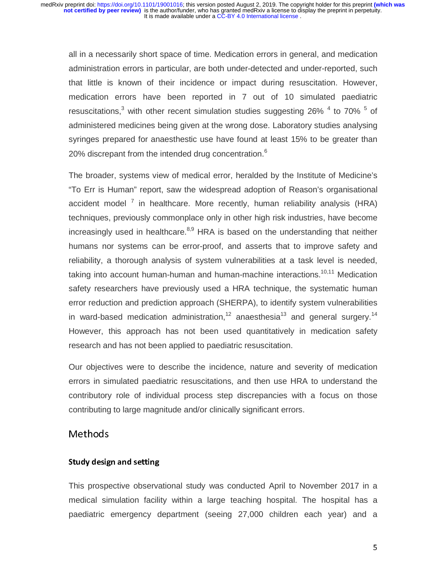all in a necessarily short space of time. Medication errors in general, and medication administration errors in particular, are both under-detected and under-reported, such that little is known of their incidence or impact during resuscitation. However, medication errors have been reported in 7 out of 10 simulated paediatric resuscitations,<sup>3</sup> with other recent simulation studies suggesting 26%  $4$  to 70%  $5$  of administered medicines being given at the wrong dose. Laboratory studies analysing syringes prepared for anaesthestic use have found at least 15% to be greater than 20% discrepant from the intended drug concentration. $6$ 

The broader, systems view of medical error, heralded by the Institute of Medicine's "To Err is Human" report, saw the widespread adoption of Reason's organisational accident model<sup>7</sup> in healthcare. More recently, human reliability analysis (HRA) techniques, previously commonplace only in other high risk industries, have become increasingly used in healthcare. $8,9$  HRA is based on the understanding that neither humans nor systems can be error-proof, and asserts that to improve safety and reliability, a thorough analysis of system vulnerabilities at a task level is needed, taking into account human-human and human-machine interactions.<sup>10,11</sup> Medication safety researchers have previously used a HRA technique, the systematic human error reduction and prediction approach (SHERPA), to identify system vulnerabilities in ward-based medication administration,<sup>12</sup> anaesthesia<sup>13</sup> and general surgery.<sup>14</sup> However, this approach has not been used quantitatively in medication safety research and has not been applied to paediatric resuscitation.

Our objectives were to describe the incidence, nature and severity of medication errors in simulated paediatric resuscitations, and then use HRA to understand the contributory role of individual process step discrepancies with a focus on those contributing to large magnitude and/or clinically significant errors.

## Methods

## Study design and setting

This prospective observational study was conducted April to November 2017 in a medical simulation facility within a large teaching hospital. The hospital has a paediatric emergency department (seeing 27,000 children each year) and a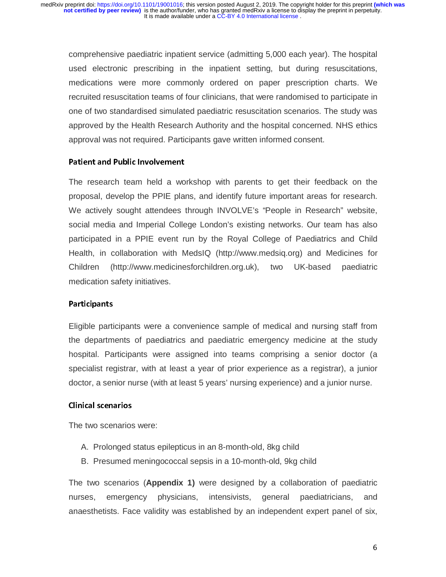comprehensive paediatric inpatient service (admitting 5,000 each year). The hospital used electronic prescribing in the inpatient setting, but during resuscitations, medications were more commonly ordered on paper prescription charts. We recruited resuscitation teams of four clinicians, that were randomised to participate in one of two standardised simulated paediatric resuscitation scenarios. The study was approved by the Health Research Authority and the hospital concerned. NHS ethics approval was not required. Participants gave written informed consent.

### Patient and Public Involvement

 The research team held a workshop with parents to get their feedback on the proposal, develop the PPIE plans, and identify future important areas for research. We actively sought attendees through INVOLVE's "People in Research" website, social media and Imperial College London's existing networks. Our team has also participated in a PPIE event run by the Royal College of Paediatrics and Child Health, in collaboration with MedsIQ (http://www.medsiq.org) and Medicines for Children (http://www.medicinesforchildren.org.uk), two UK-based paediatric medication safety initiatives.

### Participants

 Eligible participants were a convenience sample of medical and nursing staff from the departments of paediatrics and paediatric emergency medicine at the study hospital. Participants were assigned into teams comprising a senior doctor (a specialist registrar, with at least a year of prior experience as a registrar), a junior doctor, a senior nurse (with at least 5 years' nursing experience) and a junior nurse.

## Clinical scenarios

The two scenarios were:

- A. Prolonged status epilepticus in an 8-month-old, 8kg child
- B. Presumed meningococcal sepsis in a 10-month-old, 9kg child

The two scenarios (**Appendix 1)** were designed by a collaboration of paediatric nurses, emergency physicians, intensivists, general paediatricians, and anaesthetists. Face validity was established by an independent expert panel of six,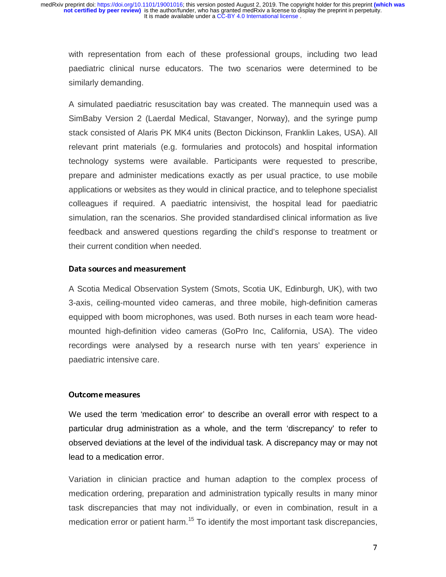with representation from each of these professional groups, including two lead paediatric clinical nurse educators. The two scenarios were determined to be similarly demanding.

A simulated paediatric resuscitation bay was created. The mannequin used was a SimBaby Version 2 (Laerdal Medical, Stavanger, Norway), and the syringe pump stack consisted of Alaris PK MK4 units (Becton Dickinson, Franklin Lakes, USA). All relevant print materials (e.g. formularies and protocols) and hospital information technology systems were available. Participants were requested to prescribe, prepare and administer medications exactly as per usual practice, to use mobile applications or websites as they would in clinical practice, and to telephone specialist colleagues if required. A paediatric intensivist, the hospital lead for paediatric simulation, ran the scenarios. She provided standardised clinical information as live feedback and answered questions regarding the child's response to treatment or their current condition when needed.

### Data sources and measurement

 A Scotia Medical Observation System (Smots, Scotia UK, Edinburgh, UK), with two 3-axis, ceiling-mounted video cameras, and three mobile, high-definition cameras equipped with boom microphones, was used. Both nurses in each team wore headmounted high-definition video cameras (GoPro Inc, California, USA). The video recordings were analysed by a research nurse with ten years' experience in paediatric intensive care.

## l. Outcome measures

 We used the term 'medication error' to describe an overall error with respect to a particular drug administration as a whole, and the term 'discrepancy' to refer to observed deviations at the level of the individual task. A discrepancy may or may not lead to a medication error.

Variation in clinician practice and human adaption to the complex process of medication ordering, preparation and administration typically results in many minor task discrepancies that may not individually, or even in combination, result in a medication error or patient harm.<sup>15</sup> To identify the most important task discrepancies,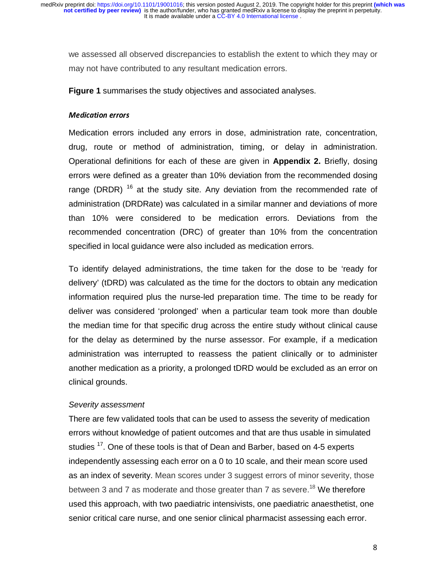we assessed all observed discrepancies to establish the extent to which they may or may not have contributed to any resultant medication errors.

**Figure 1** summarises the study objectives and associated analyses.

### Medication errors

Medication errors included any errors in dose, administration rate, concentration, drug, route or method of administration, timing, or delay in administration. Operational definitions for each of these are given in **Appendix 2.** Briefly, dosing errors were defined as a greater than 10% deviation from the recommended dosing range (DRDR)  $16$  at the study site. Any deviation from the recommended rate of administration (DRDRate) was calculated in a similar manner and deviations of more than 10% were considered to be medication errors. Deviations from the recommended concentration (DRC) of greater than 10% from the concentration specified in local guidance were also included as medication errors.

To identify delayed administrations, the time taken for the dose to be 'ready for delivery' (tDRD) was calculated as the time for the doctors to obtain any medication information required plus the nurse-led preparation time. The time to be ready for deliver was considered 'prolonged' when a particular team took more than double the median time for that specific drug across the entire study without clinical cause for the delay as determined by the nurse assessor. For example, if a medication administration was interrupted to reassess the patient clinically or to administer another medication as a priority, a prolonged tDRD would be excluded as an error on clinical grounds.

## *Severity assessment*

There are few validated tools that can be used to assess the severity of medication errors without knowledge of patient outcomes and that are thus usable in simulated studies <sup>17</sup>. One of these tools is that of Dean and Barber, based on 4-5 experts independently assessing each error on a 0 to 10 scale, and their mean score used as an index of severity. Mean scores under 3 suggest errors of minor severity, those between 3 and 7 as moderate and those greater than 7 as severe.<sup>18</sup> We therefore used this approach, with two paediatric intensivists, one paediatric anaesthetist, one senior critical care nurse, and one senior clinical pharmacist assessing each error.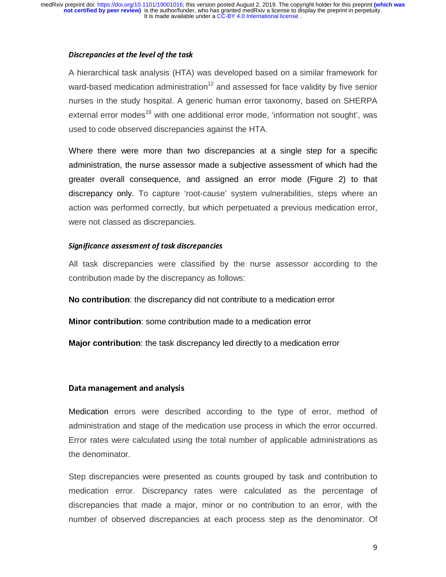### Discrepancies at the level of the task

A hierarchical task analysis (HTA) was developed based on a similar framework for ward-based medication administration<sup>12</sup> and assessed for face validity by five senior nurses in the study hospital. A generic human error taxonomy, based on SHERPA external error modes<sup>19</sup> with one additional error mode, 'information not sought', was used to code observed discrepancies against the HTA.

Where there were more than two discrepancies at a single step for a specific administration, the nurse assessor made a subjective assessment of which had the greater overall consequence, and assigned an error mode (Figure 2) to that discrepancy only. To capture 'root-cause' system vulnerabilities, steps where an action was performed correctly, but which perpetuated a previous medication error, were not classed as discrepancies.

### Significance assessment of task discrepancies

All task discrepancies were classified by the nurse assessor according to the contribution made by the discrepancy as follows:

**No contribution**: the discrepancy did not contribute to a medication error

**Minor contribution**: some contribution made to a medication error

**Major contribution**: the task discrepancy led directly to a medication error

### Data management and analysis

Medication errors were described according to the type of error, method of administration and stage of the medication use process in which the error occurred. Error rates were calculated using the total number of applicable administrations as the denominator.

Step discrepancies were presented as counts grouped by task and contribution to medication error. Discrepancy rates were calculated as the percentage of discrepancies that made a major, minor or no contribution to an error, with the number of observed discrepancies at each process step as the denominator. Of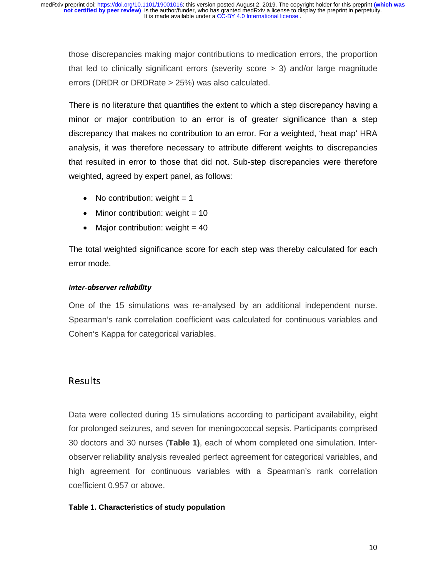those discrepancies making major contributions to medication errors, the proportion that led to clinically significant errors (severity score > 3) and/or large magnitude errors (DRDR or DRDRate > 25%) was also calculated.

There is no literature that quantifies the extent to which a step discrepancy having a minor or major contribution to an error is of greater significance than a step discrepancy that makes no contribution to an error. For a weighted, 'heat map' HRA analysis, it was therefore necessary to attribute different weights to discrepancies that resulted in error to those that did not. Sub-step discrepancies were therefore weighted, agreed by expert panel, as follows:

- No contribution: weight  $= 1$
- Minor contribution: weight  $= 10$
- Major contribution: weight  $= 40$

The total weighted significance score for each step was thereby calculated for each error mode.

## Inter-observer reliability

One of the 15 simulations was re-analysed by an additional independent nurse. Spearman's rank correlation coefficient was calculated for continuous variables and Cohen's Kappa for categorical variables.

## Results

Data were collected during 15 simulations according to participant availability, eight for prolonged seizures, and seven for meningococcal sepsis. Participants comprised 30 doctors and 30 nurses (**Table 1)**, each of whom completed one simulation. Interobserver reliability analysis revealed perfect agreement for categorical variables, and high agreement for continuous variables with a Spearman's rank correlation coefficient 0.957 or above.

## **Table 1. Characteristics of study population**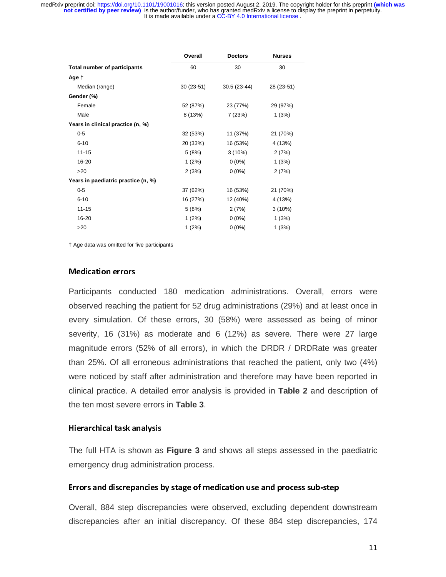|                                     | Overall     | <b>Doctors</b> | <b>Nurses</b> |
|-------------------------------------|-------------|----------------|---------------|
| Total number of participants        | 60          | 30             | 30            |
| Age t                               |             |                |               |
| Median (range)                      | $30(23-51)$ | $30.5(23-44)$  | 28 (23-51)    |
| Gender (%)                          |             |                |               |
| Female                              | 52 (87%)    | 23 (77%)       | 29 (97%)      |
| Male                                | 8 (13%)     | 7 (23%)        | 1(3%)         |
| Years in clinical practice (n, %)   |             |                |               |
| $0-5$                               | 32 (53%)    | 11 (37%)       | 21 (70%)      |
| $6 - 10$                            | 20 (33%)    | 16 (53%)       | 4 (13%)       |
| $11 - 15$                           | 5(8%)       | $3(10\%)$      | 2(7%)         |
| 16-20                               | 1(2%)       | $0(0\%)$       | 1(3%)         |
| >20                                 | 2(3%)       | $0(0\%)$       | 2(7%)         |
| Years in paediatric practice (n, %) |             |                |               |
| $0-5$                               | 37 (62%)    | 16 (53%)       | 21 (70%)      |
| $6 - 10$                            | 16 (27%)    | 12 (40%)       | 4 (13%)       |
| $11 - 15$                           | 5(8%)       | 2(7%)          | $3(10\%)$     |
| 16-20                               | 1(2%)       | $0(0\%)$       | 1(3%)         |
| >20                                 | 1(2%)       | $0(0\%)$       | 1(3%)         |

† Age data was omitted for five participants

### Medication errors

 Participants conducted 180 medication administrations. Overall, errors were observed reaching the patient for 52 drug administrations (29%) and at least once in every simulation. Of these errors, 30 (58%) were assessed as being of minor severity, 16 (31%) as moderate and 6 (12%) as severe. There were 27 large magnitude errors (52% of all errors), in which the DRDR / DRDRate was greater than 25%. Of all erroneous administrations that reached the patient, only two (4%) were noticed by staff after administration and therefore may have been reported in clinical practice. A detailed error analysis is provided in **Table 2** and description of the ten most severe errors in **Table 3**.

### Hierarchical task analysis

 The full HTA is shown as **Figure 3** and shows all steps assessed in the paediatric emergency drug administration process.

### Errors and discrepancies by stage of medication use and process sub-step

 Overall, 884 step discrepancies were observed, excluding dependent downstream discrepancies after an initial discrepancy. Of these 884 step discrepancies, 174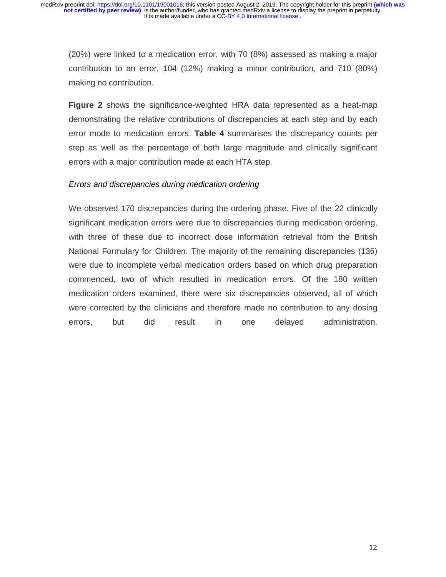(20%) were linked to a medication error, with 70 (8%) assessed as making a major contribution to an error, 104 (12%) making a minor contribution, and 710 (80%) making no contribution.

**Figure 2** shows the significance-weighted HRA data represented as a heat-map demonstrating the relative contributions of discrepancies at each step and by each error mode to medication errors. **Table 4** summarises the discrepancy counts per step as well as the percentage of both large magnitude and clinically significant errors with a major contribution made at each HTA step.

### *Errors and discrepancies during medication ordering*

We observed 170 discrepancies during the ordering phase. Five of the 22 clinically significant medication errors were due to discrepancies during medication ordering, with three of these due to incorrect dose information retrieval from the British National Formulary for Children. The majority of the remaining discrepancies (136) were due to incomplete verbal medication orders based on which drug preparation commenced, two of which resulted in medication errors. Of the 180 written medication orders examined, there were six discrepancies observed, all of which were corrected by the clinicians and therefore made no contribution to any dosing errors, but did result in one delayed administration.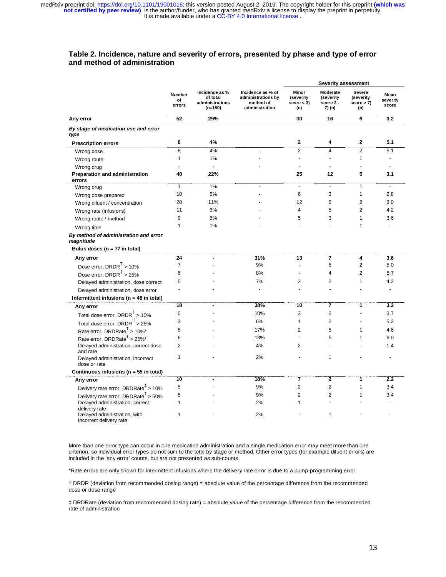#### **Table 2. Incidence, nature and severity of errors, presented by phase and type of error and method of administration**

|                                                              |                        |                                                            |                                                                        | <b>Severity assessment</b>             |                                              |                                         |                           |  |
|--------------------------------------------------------------|------------------------|------------------------------------------------------------|------------------------------------------------------------------------|----------------------------------------|----------------------------------------------|-----------------------------------------|---------------------------|--|
|                                                              | Number<br>of<br>errors | Incidence as %<br>of total<br>administrations<br>$(n=180)$ | Incidence as % of<br>administrations by<br>method of<br>administration | Minor<br>(severity<br>score < 3<br>(n) | Moderate<br>(severity<br>score 3 -<br>7) (n) | Severe<br>(severity<br>score > 7<br>(n) | Mean<br>severity<br>score |  |
| Any error                                                    | 52                     | 29%                                                        |                                                                        | 30                                     | 16                                           | 6                                       | 3.2                       |  |
| By stage of medication use and error<br>type                 |                        |                                                            |                                                                        |                                        |                                              |                                         |                           |  |
| <b>Prescription errors</b>                                   | 8                      | 4%                                                         |                                                                        | $\mathbf 2$                            | 4                                            | 2                                       | 5.1                       |  |
| Wrong dose                                                   | 8                      | 4%                                                         | $\overline{a}$                                                         | $\overline{2}$                         | $\overline{4}$                               | $\overline{2}$                          | 5.1                       |  |
| Wrong route                                                  | $\mathbf{1}$           | 1%                                                         |                                                                        | $\overline{a}$                         |                                              | 1                                       | $\overline{\phantom{a}}$  |  |
| Wrong drug                                                   | $\overline{a}$         | ÷,                                                         |                                                                        |                                        |                                              | $\overline{a}$                          |                           |  |
| Preparation and administration<br>errors                     | 40                     | 22%                                                        |                                                                        | 25                                     | 12                                           | 5                                       | 3.1                       |  |
| Wrong drug                                                   | $\mathbf{1}$           | 1%                                                         |                                                                        | ÷                                      | $\blacksquare$                               | 1                                       | $\sim$                    |  |
| Wrong dose prepared                                          | 10                     | 6%                                                         |                                                                        | 6                                      | 3                                            | $\mathbf{1}$                            | 2.8                       |  |
| Wrong diluent / concentration                                | 20                     | 11%                                                        |                                                                        | 12                                     | 6                                            | $\overline{2}$                          | 3.0                       |  |
| Wrong rate (infusions)                                       | 11                     | 6%                                                         |                                                                        | $\overline{\mathbf{4}}$                | 5                                            | $\overline{2}$                          | 4.2                       |  |
| Wrong route / method                                         | 9                      | 5%                                                         |                                                                        | 5                                      | 3                                            | $\mathbf{1}$                            | 3.6                       |  |
| Wrong time                                                   | 1                      | 1%                                                         |                                                                        |                                        |                                              | $\mathbf{1}$                            | $\overline{a}$            |  |
| By method of administration and error<br>magnitude           |                        |                                                            |                                                                        |                                        |                                              |                                         |                           |  |
| Bolus doses ( $n = 77$ in total)                             |                        |                                                            |                                                                        |                                        |                                              |                                         |                           |  |
| Any error                                                    | 24                     |                                                            | 31%                                                                    | 13                                     | $\overline{7}$                               | 4                                       | 3.6                       |  |
| Dose error, DRDR $†$ > 10%                                   | $\overline{7}$         |                                                            | 9%                                                                     | $\overline{a}$                         | 5                                            | $\overline{2}$                          | 5.0                       |  |
| Dose error, DRDR $†$ > 25%                                   | 6                      |                                                            | 8%                                                                     | ÷,                                     | 4                                            | $\overline{2}$                          | 5.7                       |  |
| Delayed administration, dose correct                         | 5                      |                                                            | 7%                                                                     | $\overline{2}$                         | $\overline{2}$                               | $\mathbf{1}$                            | 4.2                       |  |
| Delayed administration, dose error                           | ÷                      |                                                            |                                                                        |                                        |                                              |                                         | $\blacksquare$            |  |
| Intermittent infusions ( $n = 48$ in total)                  |                        |                                                            |                                                                        |                                        |                                              |                                         |                           |  |
| Any error                                                    | 18                     | ä,                                                         | 38%                                                                    | 10                                     | 7                                            | 1                                       | 3.2                       |  |
| Total dose error, DRDR <sup>T</sup> > 10%                    | 5                      |                                                            | 10%                                                                    | 3                                      | $\overline{2}$                               | L,                                      | 3.7                       |  |
| Total dose error, DRDR $\frac{1}{2}$ > 25%                   | 3                      |                                                            | 6%                                                                     | $\mathbf{1}$                           | $\overline{2}$                               |                                         | 5.2                       |  |
| Rate error, DRDRate <sup>#</sup> > 10%*                      | 8                      |                                                            | 17%                                                                    | $\overline{2}$                         | 5                                            | 1                                       | 4.6                       |  |
| Rate error, DRDRate <sup>#</sup> > 25%*                      | 6                      |                                                            | 13%                                                                    | $\overline{a}$                         | 5                                            | $\mathbf{1}$                            | 6.0                       |  |
| Delayed administration, correct dose<br>and rate             | $\overline{2}$         |                                                            | 4%                                                                     | $\overline{2}$                         |                                              |                                         | 1.4                       |  |
| Delayed administration, incorrect<br>dose or rate            | 1                      |                                                            | 2%                                                                     |                                        | 1                                            |                                         | $\overline{\phantom{a}}$  |  |
| Continuous infusions (n = 55 in total)                       |                        |                                                            |                                                                        |                                        |                                              |                                         |                           |  |
| Any error                                                    | 10                     | ٠                                                          | 18%                                                                    | 7                                      | $\overline{2}$                               | 1                                       | 2.2                       |  |
| Delivery rate error, DRDRate <sup>+</sup> > 10%              | 5                      |                                                            | 9%                                                                     | $\overline{2}$                         | $\overline{\mathbf{c}}$                      | 1                                       | 3.4                       |  |
| Delivery rate error, DRDRate <sup><math>+</math></sup> > 50% | 5                      |                                                            | 9%                                                                     | $\overline{2}$                         | $\overline{2}$                               | $\mathbf{1}$                            | 3.4                       |  |
| Delayed administration, correct<br>delivery rate             | 1                      |                                                            | 2%                                                                     | 1                                      |                                              |                                         |                           |  |
| Delayed administration, with<br>incorrect delivery rate      | 1                      |                                                            | 2%                                                                     |                                        | 1                                            |                                         |                           |  |

More than one error type can occur in one medication administration and a single medication error may meet more than one criterion, so individual error types do not sum to the total by stage or method. Other error types (for example diluent errors) are included in the 'any error' counts, but are not presented as sub-counts.

\*Rate errors are only shown for intermittent infusions where the delivery rate error is due to a pump-programming error.

† DRDR (deviation from recommended dosing range) = absolute value of the percentage difference from the recommended dose or dose range

‡ DRDRate (deviation from recommended dosing rate) = absolute value of the percentage difference from the recommended rate of administration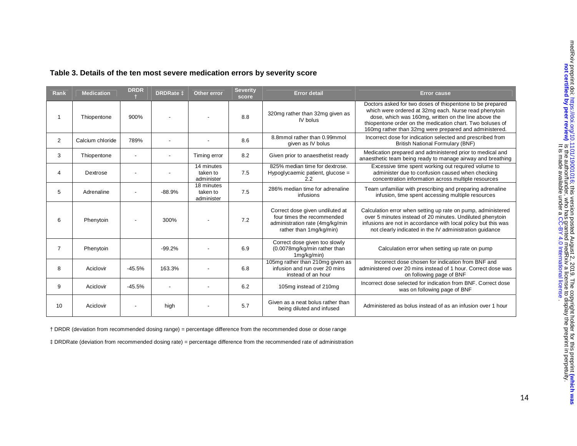| Rank           | <b>Medication</b> | <b>DRDR</b> | <b>DRDRate 1</b> | <b>Other error</b>                   | <b>Severity</b><br>score | <b>Error detail</b>                                                                                                         | <b>Error cause</b>                                                                                                                                                                                                                                                                                |
|----------------|-------------------|-------------|------------------|--------------------------------------|--------------------------|-----------------------------------------------------------------------------------------------------------------------------|---------------------------------------------------------------------------------------------------------------------------------------------------------------------------------------------------------------------------------------------------------------------------------------------------|
|                | Thiopentone       | 900%        |                  |                                      | 8.8                      | 320mg rather than 32mg given as<br>IV bolus                                                                                 | Doctors asked for two doses of thiopentone to be prepared<br>which were ordered at 32mg each. Nurse read phenytoin<br>dose, which was 160mg, written on the line above the<br>thiopentone order on the medication chart. Two boluses of<br>160mg rather than 32mg were prepared and administered. |
| $\overline{2}$ | Calcium chloride  | 789%        |                  |                                      | 8.6                      | 8.8mmol rather than 0.99mmol<br>given as IV bolus                                                                           | Incorrect dose for indication selected and prescribed from<br><b>British National Formulary (BNF)</b>                                                                                                                                                                                             |
| 3              | Thiopentone       |             |                  | Timing error                         | 8.2                      | Given prior to anaesthetist ready                                                                                           | Medication prepared and administered prior to medical and<br>anaesthetic team being ready to manage airway and breathing                                                                                                                                                                          |
| 4              | Dextrose          |             |                  | 14 minutes<br>taken to<br>administer | 7.5                      | 825% median time for dextrose.<br>Hypoglycaemic patient, glucose =<br>2.2                                                   | Excessive time spent working out required volume to<br>administer due to confusion caused when checking<br>concentration information across multiple resources                                                                                                                                    |
| 5              | Adrenaline        |             | $-88.9%$         | 18 minutes<br>taken to<br>administer | 7.5                      | 286% median time for adrenaline<br>infusions                                                                                | Team unfamiliar with prescribing and preparing adrenaline<br>infusion, time spent accessing multiple resources                                                                                                                                                                                    |
| 6              | Phenytoin         |             | 300%             |                                      | 7.2                      | Correct dose given undiluted at<br>four times the recommended<br>administration rate (4mg/kg/min<br>rather than 1mg/kg/min) | Calculation error when setting up rate on pump, administered<br>over 5 minutes instead of 20 minutes. Undiluted phenytoin<br>infusions are not in accordance with local policy but this was<br>not clearly indicated in the IV administration quidance                                            |
| $\overline{7}$ | Phenytoin         |             | $-99.2%$         |                                      | 6.9                      | Correct dose given too slowly<br>(0.0078mg/kg/min rather than<br>1mg/kg/min)                                                | Calculation error when setting up rate on pump                                                                                                                                                                                                                                                    |
| 8              | Aciclovir         | $-45.5%$    | 163.3%           |                                      | 6.8                      | 105mg rather than 210mg given as<br>infusion and run over 20 mins<br>instead of an hour                                     | Incorrect dose chosen for indication from BNF and<br>administered over 20 mins instead of 1 hour. Correct dose was<br>on following page of BNF                                                                                                                                                    |
| 9              | Aciclovir         | $-45.5%$    |                  |                                      | 6.2                      | 105mg instead of 210mg                                                                                                      | Incorrect dose selected for indication from BNF. Correct dose<br>was on following page of BNF                                                                                                                                                                                                     |
| 10             | Aciclovir         |             | high             |                                      | 5.7                      | Given as a neat bolus rather than<br>being diluted and infused                                                              | Administered as bolus instead of as an infusion over 1 hour                                                                                                                                                                                                                                       |

### **Table 3. Details of the ten most severe medication errors by severity score**

† DRDR (deviation from recommended dosing range) = percentage difference from the recommended dose or dose range

‡ DRDRate (deviation from recommended dosing rate) = percentage difference from the recommended rate of administration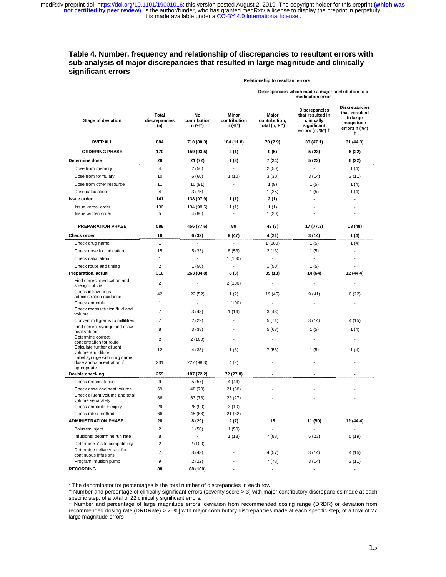### **Table 4. Number, frequency and relationship of discrepancies to resultant errors with sub-analysis of major discrepancies that resulted in large magnitude and clinically significant errors**

 **Relationship to resultant errors**

|                                                               |                               |                              |                                 | Discrepancies which made a major contribution to a<br>medication error |                                                                                           |                                                                                      |
|---------------------------------------------------------------|-------------------------------|------------------------------|---------------------------------|------------------------------------------------------------------------|-------------------------------------------------------------------------------------------|--------------------------------------------------------------------------------------|
| Stage of deviation                                            | Total<br>discrepancies<br>(n) | No<br>contribution<br>n (%*) | Minor<br>contribution<br>n (%*) | Major<br>contribution,<br>total $(n, %^*)$                             | <b>Discrepancies</b><br>that resulted in<br>clinically<br>significant<br>errors (n, %*) † | <b>Discrepancies</b><br>that resulted<br>in large<br>magnitude<br>errors n (%*)<br>ŧ |
| <b>OVERALL</b>                                                | 884                           | 710 (80.3)                   | 104 (11.8)                      | 70 (7.9)                                                               | 33 (47.1)                                                                                 | 31 (44.3)                                                                            |
| <b>ORDERING PHASE</b>                                         | 170                           | 159 (93.5)                   | 2 (1)                           | 9(5)                                                                   | 5 (23)                                                                                    | 6 (22)                                                                               |
| Determine dose                                                | 29                            | 21 (72)                      | 1(3)                            | 7 (24)                                                                 | 5 (23)                                                                                    | 6 (22)                                                                               |
| Dose from memory                                              | $\overline{4}$                | 2(50)                        | $\overline{\phantom{a}}$        | 2(50)                                                                  | $\overline{\phantom{a}}$                                                                  | 1(4)                                                                                 |
| Dose from formulary                                           | 10                            | 6(60)                        | 1(10)                           | 3(30)                                                                  | 3(14)                                                                                     | 3(11)                                                                                |
| Dose from other resource                                      | 11                            | 10 (91)                      | $\overline{a}$                  | 1(9)                                                                   | 1(5)                                                                                      | 1(4)                                                                                 |
| Dose calculation                                              | 4                             | 3(75)                        |                                 | 1(25)                                                                  | 1(5)                                                                                      | 1(4)                                                                                 |
| <b>Issue order</b>                                            | 141                           | 138 (97.9)                   | 1(1)                            | 2 (1)                                                                  | ٠                                                                                         | ä,                                                                                   |
| Issue verbal order                                            | 136                           | 134 (98.5)                   | 1(1)                            | 1(1)                                                                   |                                                                                           |                                                                                      |
| Issue written order                                           | 5                             | 4 (80)                       |                                 | 1(20)                                                                  |                                                                                           |                                                                                      |
| <b>PREPARATION PHASE</b>                                      | 588                           | 456 (77.6)                   | 89                              | 43 (7)                                                                 | 17 (77.3)                                                                                 | 13 (48)                                                                              |
| Check order                                                   | 19                            | 6 (32)                       | 9 (47)                          | 4 (21)                                                                 | 3(14)                                                                                     | 1(4)                                                                                 |
| Check drug name                                               | $\mathbf{1}$                  |                              |                                 | 1(100)                                                                 | 1(5)                                                                                      | 1(4)                                                                                 |
| Check dose for indication                                     | 15                            | 5(33)                        | 8(53)                           | 2(13)                                                                  | 1(5)                                                                                      |                                                                                      |
| Check calculation                                             | 1                             |                              | 1(100)                          |                                                                        |                                                                                           |                                                                                      |
| Check route and timing                                        | $\overline{2}$                | 1(50)                        |                                 | 1(50)                                                                  | 1(5)                                                                                      |                                                                                      |
| Preparation, actual                                           | 310                           | 263 (84.8)                   | 8 (3)                           | 39 (13)                                                                | 14 (64)                                                                                   | 12 (44.4)                                                                            |
| Find correct medication and<br>strength of vial               | 2                             |                              | 2(100)                          |                                                                        |                                                                                           |                                                                                      |
| Check intravenous<br>administration guidance                  | 42                            | 22 (52)                      | 1 $(2)$                         | 19 (45)                                                                | 9(41)                                                                                     | 6(22)                                                                                |
| Check ampoule                                                 | 1                             |                              | 1(100)                          |                                                                        |                                                                                           |                                                                                      |
| Check reconstitution fluid and<br>volume                      | $\overline{7}$                | 3(43)                        | 1(14)                           | 3(43)                                                                  |                                                                                           |                                                                                      |
| Convert milligrams to millilitres                             | $\overline{7}$                | 2(29)                        |                                 | 5(71)                                                                  | 3(14)                                                                                     | 4(15)                                                                                |
| Find correct syringe and draw<br>neat volume                  | 8                             | 3(38)                        |                                 | 5(63)                                                                  | 1(5)                                                                                      | 1(4)                                                                                 |
| Determine correct                                             | $\overline{2}$                | 2(100)                       |                                 |                                                                        |                                                                                           |                                                                                      |
| concentration for route<br>Calculate further diluent          |                               |                              |                                 |                                                                        |                                                                                           |                                                                                      |
| volume and dilute                                             | 12                            | 4 (33)                       | 1(8)                            | 7 (58)                                                                 | 1(5)                                                                                      | 1 $(4)$                                                                              |
| Label syringe with drug name,<br>dose and concentration if    | 231                           | 227 (98.3)                   | 4(2)                            |                                                                        |                                                                                           |                                                                                      |
| appropriate<br>Double checking                                | 259                           | 187 (72.2)                   | 72 (27.8)                       | $\blacksquare$                                                         | ٠                                                                                         |                                                                                      |
| Check reconstitution                                          | 9                             |                              |                                 |                                                                        |                                                                                           |                                                                                      |
| Check dose and neat volume                                    |                               | 5(57)                        | 4 (44)                          |                                                                        |                                                                                           |                                                                                      |
| Check diluent volume and total                                | 69                            | 48 (70)                      | 21 (30)                         |                                                                        |                                                                                           |                                                                                      |
| volume separately                                             | 86                            | 63 (73)                      | 23 (27)                         |                                                                        |                                                                                           |                                                                                      |
| Check ampoule + expiry                                        | 29                            | 26 (90)                      | 3(10)                           |                                                                        |                                                                                           |                                                                                      |
| Check rate / method                                           | 66                            | 45 (68)                      | 21 (32)                         | $\overline{\phantom{a}}$                                               |                                                                                           |                                                                                      |
| <b>ADMINISTRATION PHASE</b>                                   | 28                            | 8(29)                        | 2(7)                            | 18                                                                     | 11 (50)                                                                                   | 12 (44.4)                                                                            |
| Boluses: inject                                               | $\overline{2}$                | 1(50)                        | 1(50)                           | $\overline{a}$                                                         |                                                                                           |                                                                                      |
| Infusions: determine run rate                                 | 8                             |                              | 1(13)                           | 7(88)                                                                  | 5(23)                                                                                     | 5(19)                                                                                |
| Determine Y-site compatibility<br>Determine delivery rate for | $\overline{2}$                | 2(100)                       |                                 | $\overline{a}$                                                         | $\overline{\phantom{a}}$                                                                  | ٠                                                                                    |
| continuous infusions                                          | $\overline{7}$                | 3(43)                        |                                 | 4(57)                                                                  | 3(14)                                                                                     | 4(15)                                                                                |
| Program infusion pump                                         | $\boldsymbol{9}$              | 2(22)                        |                                 | 7 (78)                                                                 | 3(14)                                                                                     | 3(11)                                                                                |
| <b>RECORDING</b>                                              | 88                            | 88 (100)                     |                                 |                                                                        |                                                                                           |                                                                                      |

\* The denominator for percentages is the total number of discrepancies in each row

† Number and percentage of clinically significant errors (severity score > 3) with major contributory discrepancies made at each specific step, of a total of 22 clinically significant errors.

‡ Number and percentage of large magnitude errors [deviation from recommended dosing range (DRDR) or deviation from recommended dosing rate (DRDRate) > 25%] with major contributory discrepancies made at each specific step, of a total of 27 large magnitude errors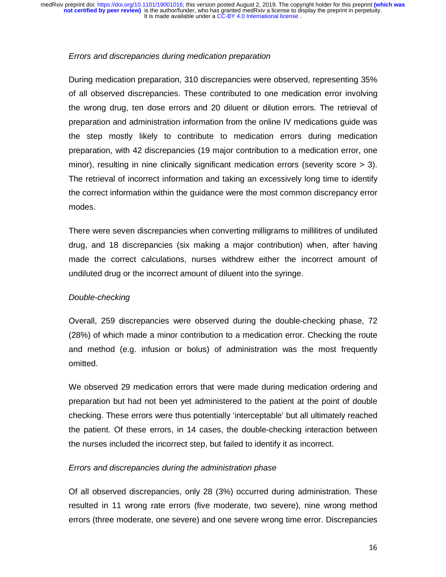### *Errors and discrepancies during medication preparation*

During medication preparation, 310 discrepancies were observed, representing 35% of all observed discrepancies. These contributed to one medication error involving the wrong drug, ten dose errors and 20 diluent or dilution errors. The retrieval of preparation and administration information from the online IV medications guide was the step mostly likely to contribute to medication errors during medication preparation, with 42 discrepancies (19 major contribution to a medication error, one minor), resulting in nine clinically significant medication errors (severity score > 3). The retrieval of incorrect information and taking an excessively long time to identify the correct information within the guidance were the most common discrepancy error modes.

There were seven discrepancies when converting milligrams to millilitres of undiluted drug, and 18 discrepancies (six making a major contribution) when, after having made the correct calculations, nurses withdrew either the incorrect amount of undiluted drug or the incorrect amount of diluent into the syringe.

## *Double-checking*

Overall, 259 discrepancies were observed during the double-checking phase, 72 (28%) of which made a minor contribution to a medication error. Checking the route and method (e.g. infusion or bolus) of administration was the most frequently omitted.

We observed 29 medication errors that were made during medication ordering and preparation but had not been yet administered to the patient at the point of double checking. These errors were thus potentially 'interceptable' but all ultimately reached the patient. Of these errors, in 14 cases, the double-checking interaction between the nurses included the incorrect step, but failed to identify it as incorrect.

## *Errors and discrepancies during the administration phase*

Of all observed discrepancies, only 28 (3%) occurred during administration. These resulted in 11 wrong rate errors (five moderate, two severe), nine wrong method errors (three moderate, one severe) and one severe wrong time error. Discrepancies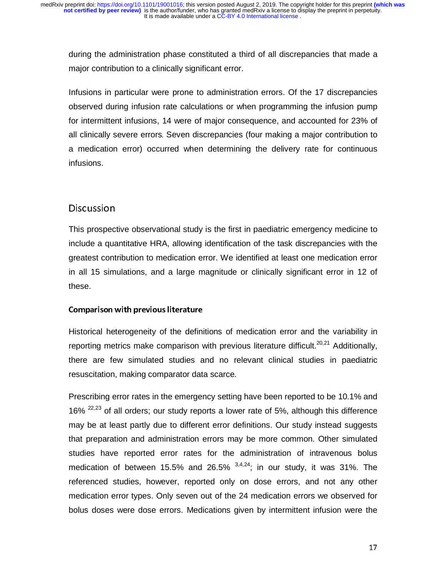during the administration phase constituted a third of all discrepancies that made a major contribution to a clinically significant error.

Infusions in particular were prone to administration errors. Of the 17 discrepancies observed during infusion rate calculations or when programming the infusion pump for intermittent infusions, 14 were of major consequence, and accounted for 23% of all clinically severe errors. Seven discrepancies (four making a major contribution to a medication error) occurred when determining the delivery rate for continuous infusions.

## **Discussion**

-<br>i<br>i<br>t This prospective observational study is the first in paediatric emergency medicine to include a quantitative HRA, allowing identification of the task discrepancies with the greatest contribution to medication error. We identified at least one medication error in all 15 simulations, and a large magnitude or clinically significant error in 12 of these.

## Comparison with previous literature

 Historical heterogeneity of the definitions of medication error and the variability in reporting metrics make comparison with previous literature difficult.<sup>20,21</sup> Additionally, there are few simulated studies and no relevant clinical studies in paediatric resuscitation, making comparator data scarce.

Prescribing error rates in the emergency setting have been reported to be 10.1% and 16%  $22,23$  of all orders; our study reports a lower rate of 5%, although this difference may be at least partly due to different error definitions. Our study instead suggests that preparation and administration errors may be more common. Other simulated studies have reported error rates for the administration of intravenous bolus medication of between 15.5% and 26.5%  $3,4,24$ ; in our study, it was 31%. The referenced studies, however, reported only on dose errors, and not any other medication error types. Only seven out of the 24 medication errors we observed for bolus doses were dose errors. Medications given by intermittent infusion were the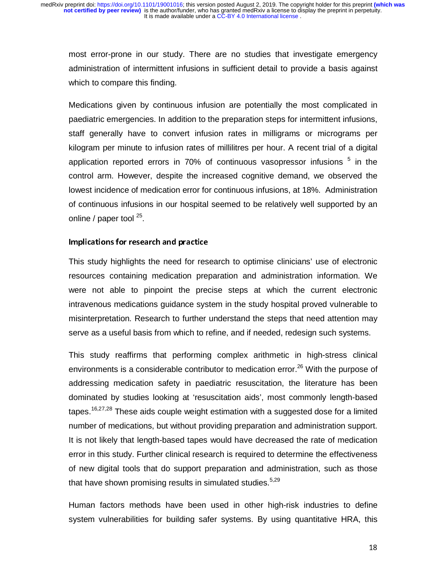most error-prone in our study. There are no studies that investigate emergency administration of intermittent infusions in sufficient detail to provide a basis against which to compare this finding.

Medications given by continuous infusion are potentially the most complicated in paediatric emergencies. In addition to the preparation steps for intermittent infusions, staff generally have to convert infusion rates in milligrams or micrograms per kilogram per minute to infusion rates of millilitres per hour. A recent trial of a digital application reported errors in 70% of continuous vasopressor infusions  $5$  in the control arm. However, despite the increased cognitive demand, we observed the lowest incidence of medication error for continuous infusions, at 18%. Administration of continuous infusions in our hospital seemed to be relatively well supported by an online / paper tool  $^{25}$ .

### Implications for research and practice

-<br>|<br>|<br>|<br>| This study highlights the need for research to optimise clinicians' use of electronic resources containing medication preparation and administration information. We were not able to pinpoint the precise steps at which the current electronic intravenous medications guidance system in the study hospital proved vulnerable to misinterpretation. Research to further understand the steps that need attention may serve as a useful basis from which to refine, and if needed, redesign such systems.

This study reaffirms that performing complex arithmetic in high-stress clinical environments is a considerable contributor to medication error.<sup>26</sup> With the purpose of addressing medication safety in paediatric resuscitation, the literature has been dominated by studies looking at 'resuscitation aids', most commonly length-based tapes.<sup>16,27,28</sup> These aids couple weight estimation with a suggested dose for a limited number of medications, but without providing preparation and administration support. It is not likely that length-based tapes would have decreased the rate of medication error in this study. Further clinical research is required to determine the effectiveness of new digital tools that do support preparation and administration, such as those that have shown promising results in simulated studies.  $5.29$ 

Human factors methods have been used in other high-risk industries to define system vulnerabilities for building safer systems. By using quantitative HRA, this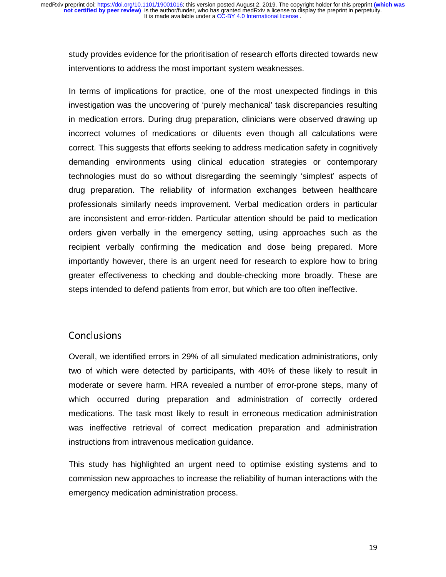study provides evidence for the prioritisation of research efforts directed towards new interventions to address the most important system weaknesses.

In terms of implications for practice, one of the most unexpected findings in this investigation was the uncovering of 'purely mechanical' task discrepancies resulting in medication errors. During drug preparation, clinicians were observed drawing up incorrect volumes of medications or diluents even though all calculations were correct. This suggests that efforts seeking to address medication safety in cognitively demanding environments using clinical education strategies or contemporary technologies must do so without disregarding the seemingly 'simplest' aspects of drug preparation. The reliability of information exchanges between healthcare professionals similarly needs improvement. Verbal medication orders in particular are inconsistent and error-ridden. Particular attention should be paid to medication orders given verbally in the emergency setting, using approaches such as the recipient verbally confirming the medication and dose being prepared. More importantly however, there is an urgent need for research to explore how to bring greater effectiveness to checking and double-checking more broadly. These are steps intended to defend patients from error, but which are too often ineffective.

## Conclusions

(trrv Overall, we identified errors in 29% of all simulated medication administrations, only two of which were detected by participants, with 40% of these likely to result in moderate or severe harm. HRA revealed a number of error-prone steps, many of which occurred during preparation and administration of correctly ordered medications. The task most likely to result in erroneous medication administration was ineffective retrieval of correct medication preparation and administration instructions from intravenous medication guidance.

This study has highlighted an urgent need to optimise existing systems and to commission new approaches to increase the reliability of human interactions with the emergency medication administration process.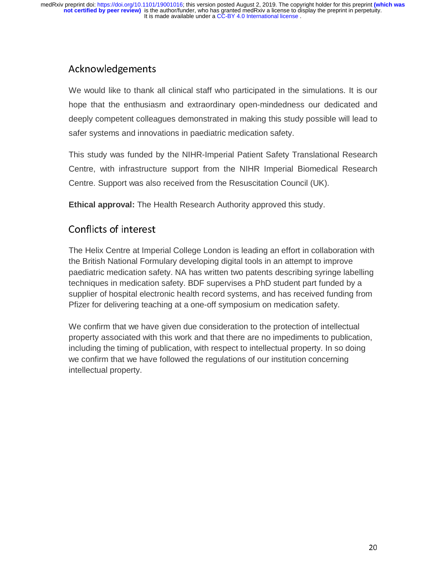# Acknowledgements

|<br>|<br>|<br>|<br>|-We would like to thank all clinical staff who participated in the simulations. It is our hope that the enthusiasm and extraordinary open-mindedness our dedicated and deeply competent colleagues demonstrated in making this study possible will lead to safer systems and innovations in paediatric medication safety.

This study was funded by the NIHR-Imperial Patient Safety Translational Research Centre, with infrastructure support from the NIHR Imperial Biomedical Research Centre. Support was also received from the Resuscitation Council (UK).

**Ethical approval:** The Health Research Authority approved this study.

# Conflicts of interest

The Helix Centre at Imperial College London is leading an effort in collaboration with the British National Formulary developing digital tools in an attempt to improve paediatric medication safety. NA has written two patents describing syringe labelling techniques in medication safety. BDF supervises a PhD student part funded by a supplier of hospital electronic health record systems, and has received funding from Pfizer for delivering teaching at a one-off symposium on medication safety.

We confirm that we have given due consideration to the protection of intellectual property associated with this work and that there are no impediments to publication, including the timing of publication, with respect to intellectual property. In so doing we confirm that we have followed the regulations of our institution concerning intellectual property.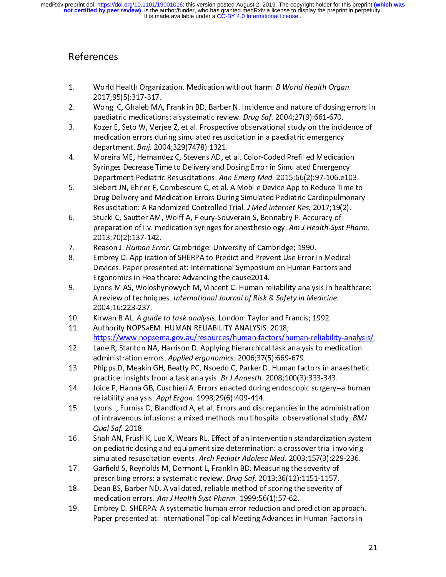# References

- 
- 
- 2. World Health Organization. Medication without harm. *B World Health Organ*.<br>2017;95(5):317-317.<br>2. Wong IC, Ghaleb MA, Franklin BD, Barber N. Incidence and nature of dosing er<br>paediatric medications: a systematic review Wong IC, Ghaleb MA,<br>paediatric medicatior<br>Kozer E, Seto W, Verj<br>medication errors du<br>department. *Bmj*. 201<br>Moreira ME, Hernand<br>Syringes Decrease Tir paediatric medications: a systematic review. *Drug Saf.* 2004;27(9):661-670.<br>
2. Kozer E, Seto W, Verjee Z, et al. Prospective observational study on the incidence of<br>
medication errors during simulated resuscitation in a
- paediatric medications: a systematic review. Drug Saf. 2004,27(9):661-670.<br>Kozer E, Seto W, Verjee Z, et al. Prospective observational study on the incidential<br>medication errors during simulated resuscitation in a paediatr medication errors during simulated resuscitation in a paediatric emergency<br>
department. *Bmj.* 2004;329(7478):1321.<br>
4. Moreira ME, Hernandez C, Stevens AD, et al. Color-Coded Prefilled Medication<br>
Syringes Decrease Time t
- department. *Bmj.* 2004;329(7478):1321.<br>Moreira ME, Hernandez C, Stevens AD, et al. Color-Coded Prefilled Medicati<br>Syringes Decrease Time to Delivery and Dosing Error in Simulated Emergenc<br>Department Pediatric Resuscitatio department. Bmj. 2004,325(7478):1321.<br>Moreira ME, Hernandez C, Stevens AD, e<br>Syringes Decrease Time to Delivery and D<br>Department Pediatric Resuscitations. Ann<br>Siebert JN, Ehrler F, Combescure C, et al.<br>Drug Delivery and Me Syringes Decrease Time to Delivery and Dosing Error in Simulated Emergency<br>Department Pediatric Resuscitations. Ann Emerg Med. 2015;66(2):97-106.e103<br>5. Siebert JN, Ehrler F, Combescure C, et al. A Mobile Device App to Red Syringes Decrease Time to Delivery and Dosing Error in Simulated Emergency<br>Department Pediatric Resuscitations. Ann Emerg Med. 2015;66(2):97-106.e103.<br>Siebert JN, Ehrler F, Combescure C, et al. A Mobile Device App to Reduc
- Drug Delivery and Medication Errors During Simulated Pediatric Cardiopulmonary<br>Resuscitation: A Randomized Controlled Trial. *J Med Internet Res.* 2017;19(2).<br>Stucki C, Sautter AM, Wolff A, Fleury-Souverain S, Bonnabry P. Five Delivery and Medication Errors During Simulated Pediatric Cardiopulmonary<br>
Resuscitation: A Randomized Controlled Trial. *J Med Internet Res.* 2017;19(2).<br>
Stucki C, Sautter AM, Wolff A, Fleury-Souverain S, Bonnabry P Resuscitation: A Randomized Controlled Trial. J Med Internet Res. 2017;19(2).<br>Stucki C, Sautter AM, Wolff A, Fleury-Souverain S, Bonnabry P. Accuracy of<br>preparation of i.v. medication syringes for anesthesiology. Am J Heal Resuscitation: A Randomized Controlled Trial. 3 Med Internet Res. 2017;19(2).<br>Stucki C, Sautter AM, Wolff A, Fleury-Souverain S, Bonnabry P. Accuracy of<br>preparation of i.v. medication syringes for anesthesiology. Am J Heal
- 
- Freman Proman of i.v. medication syringes for anesthesiology. Am J Health-Syst<br>2013;70(2):137-142.<br>Reason J. Human Error. Cambridge: University of Cambridge; 1990.<br>8. Embrey D. Application of SHERPA to Predict and Prevent preparation of i.v. medication symiges for anesthesiology. Am J Health-Syst Pharm.<br>2013;70(2):137-142.<br>Reason J. Human Error. Cambridge: University of Cambridge; 1990.<br>Embrey D. Application of SHERPA to Predict and Prevent
- Devices. Paper presented at: International Symposium on Human Factors and<br>Ergonomics in Healthcare: Advancing the cause2014.<br>Lyons M AS, Woloshynowych M, Vincent C. Human reliability analysis in healt!<br>A review of techniqu 7. Reason J. Miman Error. Cambridge: Oniversity of Cambridge, 1990.<br>
8. Embrey D. Application of SHERPA to Predict and Prevent Use Error i<br>
Devices. Paper presented at: International Symposium on Human Fa<br>
Ergonomics in He Bevices. Paper presented at: International Symposium on Human Factors and<br>Ergonomics in Healthcare: Advancing the cause2014.<br>Uyons M AS, Woloshynowych M, Vincent C. Human reliability analysis in health<br>A review of techniqu Ergonomics in Healthcare: Advancing the cause2014.<br>Lyons M AS, Woloshynowych M, Vincent C. Human reliability analysis in health<br>A review of techniques. *International Journal of Risk & Safety in Medicine*.<br>2004;16:223-237. Lyons M AS, Woloshynowych M, Vincent C. Human re<br>A review of techniques. *International Journal of Risk &*<br>2004;16:223-237.<br>Kirwan B AL. *A guide to task analysis*. London: Taylor<br>Authority NOPSaEM. HUMAN RELIABILITY ANALY 9. Lyon M M B Atten (1991) M M Andrea Methanics M A review of techniques. International Journal of Risk & Safety in Medicine.<br>
2004;16:223-237.<br>
10. Kirwan B AL. A guide to task analysis. London: Taylor and Francis; 1992.<br>
- 
- Kirwan B AL. *A gui*<br>Authority NOPSaE<br><u>https://www.nops</u><br>Lane R, Stanton N,<br>administration err<br>Phipps D, Meakin (<br>practice: insights f 11. Authority NOPSaEM. HUMAN RELIABILITY ANALYSIS. 2018;<br>
https://www.nopsema.gov.au/resources/human-factors/human-reliabil<br>
12. Lane R, Stanton NA, Harrison D. Applying hierarchical task analysis to me<br>
administration err
- https://www.nopsema.gov.au/resources/human-factors/human-reliability-analysis/<br>Lane R, Stanton NA, Harrison D. Applying hierarchical task analysis to medication<br>administration errors. *Applied ergonomics*. 2006;37(5):669-6
- https://www.nopsema.gov.au/resources/human-factors/h<br>12. Lane R, Stanton NA, Harrison D. Applying hierarchical task a<br>administration errors. Applied ergonomics. 2006;37(5):669-<br>13. Phipps D, Meakin GH, Beatty PC, Nsoedo C,
- Lane R, Stanton NA, Harrison D. Applying hierarchical task analysis to medication<br>administration errors. Applied ergonomics. 2006;37(5):669-679.<br>Phipps D, Meakin GH, Beatty PC, Nsoedo C, Parker D. Human factors in anaesthe
- 11. Lane R, Standard Marchine R, Standard Marian China R, Bandministration errors. Applied ergonomics. 2006;37(5):669-679.<br>
13. Phipps D, Meakin GH, Beatty PC, Nsoedo C, Parker D. Human factors in anaesthet<br>
practice: insi administration errors. Applied ergonomics. 2000;37(3):669-679.<br>Phipps D, Meakin GH, Beatty PC, Nsoedo C, Parker D. Human fac<br>practice: insights from a task analysis. *Br J Anaesth*. 2008;100(3):<br>Joice P, Hanna GB, Cuschier practice: insights from a task analysis. *Br J Anaesth*. 2008; 100(3): 333-343.<br>
14. Joice P, Hanna GB, Cuschieri A. Errors enacted during endoscopic surgery-a human<br>
reliability analysis. Appl Ergon. 1998; 29(6): 409-414. practice: insights from a task analysis. Br J Amestin: 2008, 100(3):333-343.<br>Joice P, Hanna GB, Cuschieri A. Errors enacted during endoscopic surgery-<br>reliability analysis. Appl Ergon. 1998;29(6):409-414.<br>Lyons I, Furniss 14. Is. Internal Findings and Engine P, Hanna Teliability analysis. Appl Ergon. 1998; 29(6): 409-414.<br>
15. Lyons I, Furniss D, Blandford A, et al. Errors and discrepancies in the administration<br>
of intravenous infusions: a reliability analysis. Appl Ergon. 1998,29(0):409-414.<br>Lyons I, Furniss D, Blandford A, et al. Errors and disc<br>of intravenous infusions: a mixed methods multihos<br>Qual Saf. 2018.<br>Shah AN, Frush K, Luo X, Wears RL. Effect of
- 15. Under the specifical observational study. BMJ<br>
16. Shah AN, Frush K, Luo X, Wears RL. Effect of an intervention standardization system<br>
16. Shah AN, Frush K, Luo X, Wears RL. Effect of an intervention standardization s *Qual Saf.* 2018.<br>
Shah AN, Frush K, Luo X, Wears RL. Effect of an intervention standardization system<br>
on pediatric dosing and equipment size determination: a crossover trial involving<br>
simulated resuscitation events. Arc Qual Saf. 2018.<br>
Shah AN, Frush K, Luo X, Wears RL. Effect of an intervention standardization system<br>
on pediatric dosing and equipment size determination: a crossover trial involving<br>
simulated resuscitation events. Arch 16. In the mediatric dosing and equipment size determination: a crossover trial involving<br>
16. Simulated resuscitation events. Arch Pediatr Adolesc Med. 2003;157(3):229-236.<br>
17. Garfield S, Reynolds M, Dermont L, Franklin
- 
- 11. The controlling errors: a systematic review. *Drug Saf.* 2013;36(12):1151-1157.<br>
18. Dean BS, Barber ND. A validated, reliable method of scoring the severity of<br>
medication errors. Am J Health Syst Pharm. 1999;56(1):57
- on pediatric dosing and equipment size determinated resuscitation events. Arch Pediatr Adolesc Med. 2003;157(3):229-236.<br>Garfield S, Reynolds M, Dermont L, Franklin BD. Measuring the severity of<br>prescribing errors: a syste simulated resuscitation events. Arch Pediatr Adolesc Med. 2003,137(3):223-236.<br>Garfield S, Reynolds M, Dermont L, Franklin BD. Measuring the severity of<br>prescribing errors: a systematic review. *Drug Saf.* 2013;36(12):1151 Dean BS, Barber ND. A validated, reliable method of scoring the severity of<br>medication errors. *Am J Health Syst Pharm.* 1999;56(1):57-62.<br>Embrey D. SHERPA: A systematic human error reduction and prediction approach<br>Paper medication errors. Am J Health Syst Pharm. 1999;56(1):57-62.<br>
19. Embrey D. SHERPA: A systematic human error reduction and prediction app<br>
Paper presented at: International Topical Meeting Advances in Human Fact<br>
19. Paper medication errors. Am J Health Syst Pharm. 1999;56(1):37-62.<br>Embrey D. SHERPA: A systematic human error reduction and p<br>Paper presented at: International Topical Meeting Advances in Paper presented at: International Topical Meeting Advances in Human Factors in Paper presented at: International Topical Meeting Advances in Human Factors in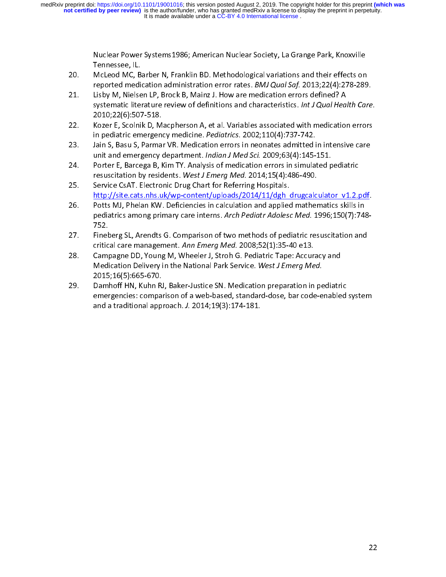- 
- Tennessee, IL.<br>
McLeod MC, Barber N, Franklin BD. Methodological variations and their effects on<br>
reported medication administration error rates. *BMJ Qual Saf.* 2013;22(4):278-289<br>
Lisby M, Nielsen LP, Brock B, Mainz J. H McLeod MC, B<br>McLeod MC, B<br>reported medi<br>Lisby M, Nielse<br>systematic lite<br>2010;22(6):507<br>Kozer E, Scolni<br>in pediatric em 21. McChemical McChemical McChemic Provides. BMJ Qual Saf. 2013;22(4):278-289<br>21. Lisby M, Nielsen LP, Brock B, Mainz J. How are medication errors defined? A<br>systematic literature review of definitions and characteristics. reported medication administration error rates. *BMJ Qual Saf. 2013*,22(4).278-289.<br>Lisby M, Nielsen LP, Brock B, Mainz J. How are medication errors defined? A<br>systematic literature review of definitions and characteristic 21. List of the distribution and characteristics. *Int J Qual Hea*<br>2010;22(6):507-518.<br>22. Kozer E, Scolnik D, Macpherson A, et al. Variables associated with medication<br>in pediatric emergency medicine. *Pediatrics*. 2002;1
- systematic literature review of definitions and characteristics. *Int Separmentineate*.<br>2010;22(6):507-518.<br>Kozer E, Scolnik D, Macpherson A, et al. Variables associated with medication errors<br>in pediatric emergency medici 2010;22(6):507-518.<br>Kozer E, Scolnik D, Macpherson A, et al. Variables associated with medication errors<br>in pediatric emergency medicine. *Pediatrics*. 2002;110(4):737-742.<br>Jain S, Basu S, Parmar VR. Medication errors in n
- 
- 
- 22. Iain S, Basu S, Parmar VR. Medication errors in neonates admitted in intensive care<br>23. Jain S, Basu S, Parmar VR. Medication errors in neonates admitted in intensive care<br>23. Jain S, Basu S, Parmar VR. Medication erro http://site.cats.nhs.uk/wp-content/uploads/2014/11/dgh drugcalculator v1.2.pdf.<br>Potts MJ, Phelan KW. Deficiencies in calculation and applied mathematics skills in
- unit and emergency department. *Indian J Med Sci.* 2009;63(4):145-151.<br>
24. Porter E, Barcega B, Kim TY. Analysis of medication errors in simulated pediatric<br>
resuscitation by residents. *West J Emerg Med.* 2014;15(4):486unit and emergency department. *Indian J Wed Sci.* 2009;05(4):145-151.<br>Porter E, Barcega B, Kim TY. Analysis of medication errors in simulated p<br>resuscitation by residents. *West J Emerg Med.* 2014;15(4):486-490.<br>Service C 25. Service CsAT. Electronic Drug Chart for Referring Hospitals.<br>
25. Service CsAT. Electronic Drug Chart for Referring Hospitals.<br>
26. http://site.cats.nhs.uk/wp-content/uploads/2014/11/dgh drugcalculator v1.2.ports MJ, P resuscitation by residents. West J Emerg Med. 2014,15(4):480-490.<br>Service CsAT. Electronic Drug Chart for Referring Hospitals.<br>http://site.cats.nhs.uk/wp-content/uploads/2014/11/dgh\_drugcalc<br>Potts MJ, Phelan KW. Deficienci 122. Service Contracts The Contracts Contracts Contracts Controlled Contracts Controlled Controlled Controlled Controlled Controlled Controlled Chart Form Controlled Chart Form Chart Form Chart Form Chart Form Chart Form C Fotts MJ, Phelan KW. Deficiencies in calculation and applied mathematics skills in<br>pediatrics among primary care interns. Arch Pediatr Adolesc Med. 1996;150(7):748-<br>752.<br>Fineberg SL, Arendts G. Comparison of two methods of
- 
- 92. pediatrics among primary care interns. Arch Pediatr Adolesc Med. 1996;150(7):74:<br>
27. Fineberg SL, Arendts G. Comparison of two methods of pediatric resuscitation and<br>
critical care management. Ann Emerg Med. 2008;52(1 pediatrics among primary care interns. Arch Pediatri Adolesc Med. 1996;150(7):740-<br>752.<br>Fineberg SL, Arendts G. Comparison of two methods of pediatric resuscitation and<br>critical care management. Ann Emerg Med. 2008;52(1):3 campagne DD, Young M, Wheeler J, Stroh G. Pediatric Tape: Accur<br>Medication Delivery in the National Park Service. West J Emerg Me<br>2015;16(5):665-670.<br>Damhoff HN, Kuhn RJ, Baker-Justice SN. Medication preparation in<br>emergen
- Fineberg SL, Arendts G. Comparison of two methods of pediatric resuscitation and<br>critical care management. Ann Emerg Med. 2008;52(1):35-40 e13.<br>Campagne DD, Young M, Wheeler J, Stroh G. Pediatric Tape: Accuracy and<br>Medicat critical care management. Ann Emerg Med. 2008;52(1):35-40 e13.<br>
28. Campagne DD, Young M, Wheeler J, Stroh G. Pediatric Tape: Accuracy and<br>
2015;16(5):665-670.<br>
29. Damhoff HN, Kuhn RJ, Baker-Justice SN. Medication prepara Medication Delivery in the National Park Service. West J Emerg Med.<br>
2015;16(5):665-670.<br>
Damhoff HN, Kuhn RJ, Baker-Justice SN. Medication preparation in pediatric emergencies: comparison of a web-based, standard-dose, ba Medication Delivery in the National Park Service. West J Emerg Med.<br>2015;16(5):665-670.<br>Damhoff HN, Kuhn RJ, Baker-Justice SN. Medication preparation in pe<br>emergencies: comparison of a web-based, standard-dose, bar code-e<br> Damhoff HN, Kuhn R.<br>emergencies: compai<br>and a traditional app emergencies: comparison of a web-based, standard-dose, bar code-enabled<br>and a traditional approach. J. 2014;19(3):174-181.<br>The solution of a web-based in persparation in perspective states of the state of the state of the and a traditional approach. J. 2014;19(3):174-181. and a traditional approach. J. 2014;19(3):174-181.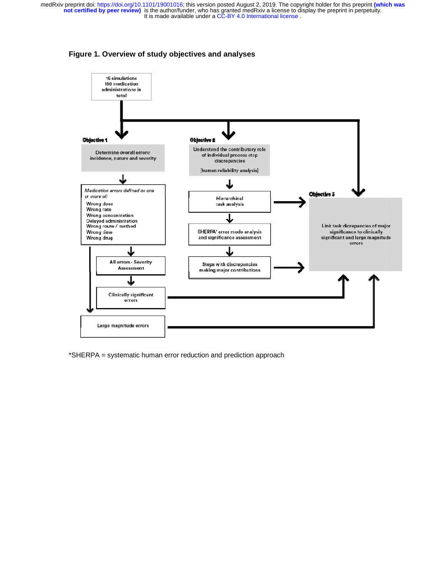

**Figure 1. Overview of study objectives and analyses** 

\*SHERPA = systematic human error reduction and prediction approach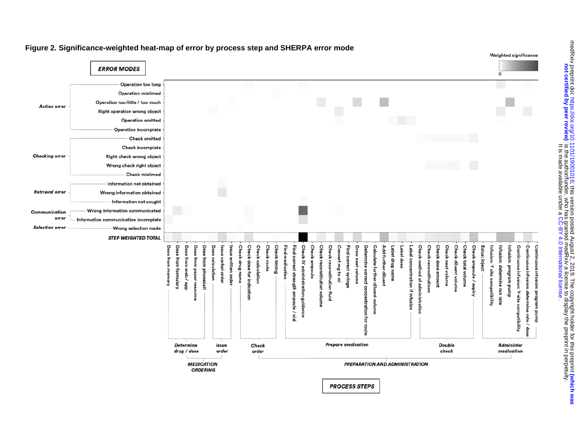

### **Figure 2. Significance-weighted heat-map of error by process step and SHERPA error mode**

medRxiv preprint doi: https://doi.org/10.1101/19001016; this version posted August 2, 2019. The copyright holder for this preprint (which was<br>not certified by peer review) is the author/funder, who has granted medRxiv a li as The copyright for this preprint that the copyright of this prepries with 2010.10.1101/1011/101/1011/1011/101<br>Buckly preprint the preprint that is prepared to the copyright of the copyright of the copyright of the copyri **not certified by peer review)** is the author/funder, who has granted medRxiv a license to display the preprint in perpetuity. . [CC-BY 4.0 International license](http://creativecommons.org/licenses/by/4.0/) It is made available under a